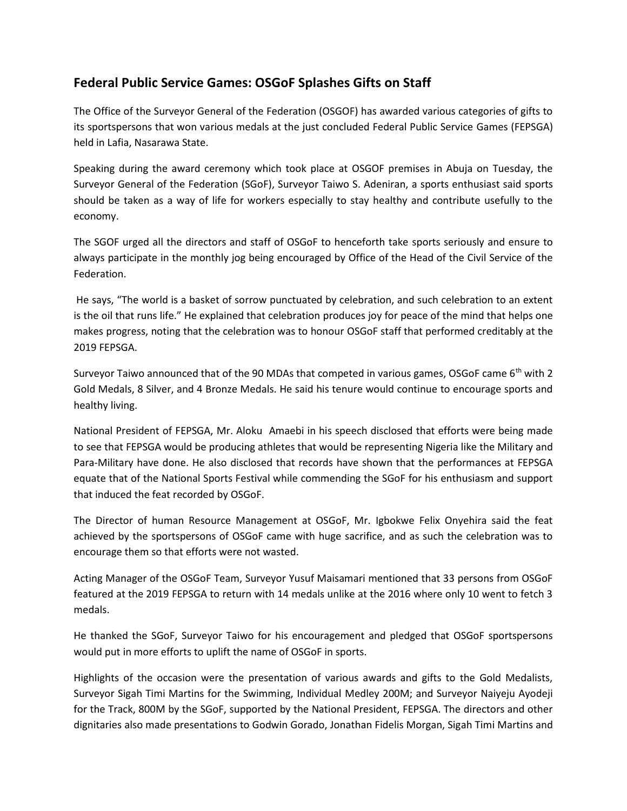## **Federal Public Service Games: OSGoF Splashes Gifts on Staff**

The Office of the Surveyor General of the Federation (OSGOF) has awarded various categories of gifts to its sportspersons that won various medals at the just concluded Federal Public Service Games (FEPSGA) held in Lafia, Nasarawa State.

Speaking during the award ceremony which took place at OSGOF premises in Abuja on Tuesday, the Surveyor General of the Federation (SGoF), Surveyor Taiwo S. Adeniran, a sports enthusiast said sports should be taken as a way of life for workers especially to stay healthy and contribute usefully to the economy.

The SGOF urged all the directors and staff of OSGoF to henceforth take sports seriously and ensure to always participate in the monthly jog being encouraged by Office of the Head of the Civil Service of the Federation.

He says, "The world is a basket of sorrow punctuated by celebration, and such celebration to an extent is the oil that runs life." He explained that celebration produces joy for peace of the mind that helps one makes progress, noting that the celebration was to honour OSGoF staff that performed creditably at the 2019 FEPSGA.

Surveyor Taiwo announced that of the 90 MDAs that competed in various games, OSGoF came 6<sup>th</sup> with 2 Gold Medals, 8 Silver, and 4 Bronze Medals. He said his tenure would continue to encourage sports and healthy living.

National President of FEPSGA, Mr. Aloku Amaebi in his speech disclosed that efforts were being made to see that FEPSGA would be producing athletes that would be representing Nigeria like the Military and Para-Military have done. He also disclosed that records have shown that the performances at FEPSGA equate that of the National Sports Festival while commending the SGoF for his enthusiasm and support that induced the feat recorded by OSGoF.

The Director of human Resource Management at OSGoF, Mr. Igbokwe Felix Onyehira said the feat achieved by the sportspersons of OSGoF came with huge sacrifice, and as such the celebration was to encourage them so that efforts were not wasted.

Acting Manager of the OSGoF Team, Surveyor Yusuf Maisamari mentioned that 33 persons from OSGoF featured at the 2019 FEPSGA to return with 14 medals unlike at the 2016 where only 10 went to fetch 3 medals.

He thanked the SGoF, Surveyor Taiwo for his encouragement and pledged that OSGoF sportspersons would put in more efforts to uplift the name of OSGoF in sports.

Highlights of the occasion were the presentation of various awards and gifts to the Gold Medalists, Surveyor Sigah Timi Martins for the Swimming, Individual Medley 200M; and Surveyor Naiyeju Ayodeji for the Track, 800M by the SGoF, supported by the National President, FEPSGA. The directors and other dignitaries also made presentations to Godwin Gorado, Jonathan Fidelis Morgan, Sigah Timi Martins and